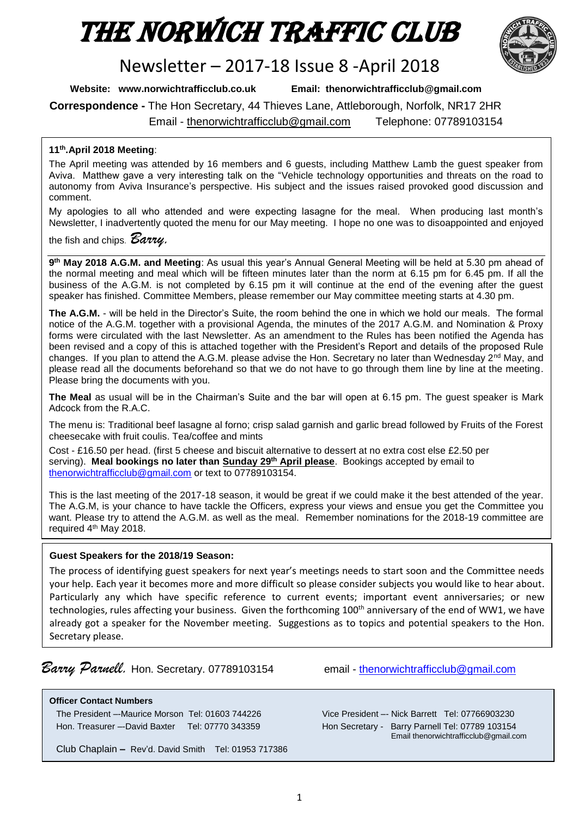# The Norwich Traffic Club



# Newsletter – 2017-18 Issue 8 -April 2018

**Website: www.norwichtrafficclub.co.uk Email: thenorwichtrafficclub@gmail.com**

**Correspondence -** The Hon Secretary, 44 Thieves Lane, Attleborough, Norfolk, NR17 2HR

Email - [thenorwichtrafficclub@gmail.com](mailto:thenorwichtrafficclub@gmail.com) Telephone: 07789103154

## **11th .April 2018 Meeting**:

The April meeting was attended by 16 members and 6 guests, including Matthew Lamb the guest speaker from Aviva. Matthew gave a very interesting talk on the "Vehicle technology opportunities and threats on the road to autonomy from Aviva Insurance's perspective. His subject and the issues raised provoked good discussion and comment.

My apologies to all who attended and were expecting lasagne for the meal. When producing last month's Newsletter, I inadvertently quoted the menu for our May meeting. I hope no one was to disoappointed and enjoyed

the fish and chips*. Barry.*

**9 th May 2018 A.G.M. and Meeting**: As usual this year's Annual General Meeting will be held at 5.30 pm ahead of the normal meeting and meal which will be fifteen minutes later than the norm at 6.15 pm for 6.45 pm. If all the business of the A.G.M. is not completed by 6.15 pm it will continue at the end of the evening after the guest speaker has finished. Committee Members, please remember our May committee meeting starts at 4.30 pm.

**The A.G.M.** - will be held in the Director's Suite, the room behind the one in which we hold our meals. The formal notice of the A.G.M. together with a provisional Agenda, the minutes of the 2017 A.G.M. and Nomination & Proxy forms were circulated with the last Newsletter. As an amendment to the Rules has been notified the Agenda has been revised and a copy of this is attached together with the President's Report and details of the proposed Rule changes. If you plan to attend the A.G.M. please advise the Hon. Secretary no later than Wednesday 2<sup>nd</sup> May, and please read all the documents beforehand so that we do not have to go through them line by line at the meeting. Please bring the documents with you.

**The Meal** as usual will be in the Chairman's Suite and the bar will open at 6.15 pm. The guest speaker is Mark Adcock from the R.A.C.

The menu is: Traditional beef lasagne al forno; crisp salad garnish and garlic bread followed by Fruits of the Forest cheesecake with fruit coulis. Tea/coffee and mints

Cost - £16.50 per head. (first 5 cheese and biscuit alternative to dessert at no extra cost else £2.50 per serving). **Meal bookings no later than Sunday 29th April please**. Bookings accepted by email to [thenorwichtrafficclub@gmail.com](mailto:thenorwichtrafficclub@gmail.com) or text to 07789103154.

This is the last meeting of the 2017-18 season, it would be great if we could make it the best attended of the year. The A.G.M, is your chance to have tackle the Officers, express your views and ensue you get the Committee you want. Please try to attend the A.G.M. as well as the meal. Remember nominations for the 2018-19 committee are required 4<sup>th</sup> May 2018.

#### **Guest Speakers for the 2018/19 Season:**

The process of identifying guest speakers for next year's meetings needs to start soon and the Committee needs your help. Each year it becomes more and more difficult so please consider subjects you would like to hear about. Particularly any which have specific reference to current events; important event anniversaries; or new technologies, rules affecting your business. Given the forthcoming 100<sup>th</sup> anniversary of the end of WW1, we have already got a speaker for the November meeting. Suggestions as to topics and potential speakers to the Hon. Secretary please.

*Barry Parnell.* Hon. Secretary. 07789103154 email - [thenorwichtrafficclub@gmail.com](mailto:thenorwichtrafficclub@gmail.com)

**Officer Contact Numbers**

The President –-Maurice Morson [Tel: 01603](tel:01603) 744226 Vice President –- Nick Barrett Tel: 07766903230 Hon. Treasurer --David Baxter Tel: 07770 343359 Hon Secretary - Barry Parnell Tel: 07789 103154

Club Chaplain **–** Rev'd. David Smith Tel: 01953 717386

Email thenorwichtrafficclub@gmail.com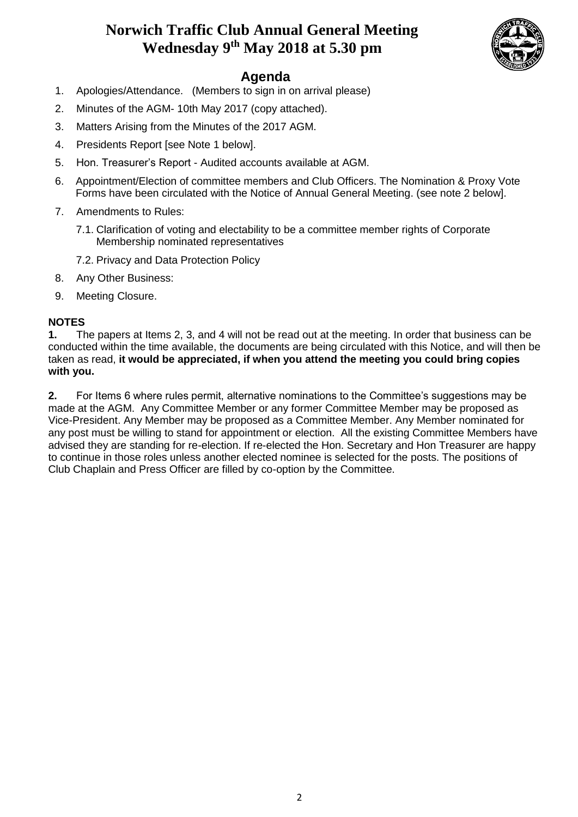## **Norwich Traffic Club Annual General Meeting Wednesday 9th May 2018 at 5.30 pm**



### **Agenda**

- 1. Apologies/Attendance. (Members to sign in on arrival please)
- 2. Minutes of the AGM- 10th May 2017 (copy attached).
- 3. Matters Arising from the Minutes of the 2017 AGM.
- 4. Presidents Report [see Note 1 below].
- 5. Hon. Treasurer's Report Audited accounts available at AGM.
- 6. Appointment/Election of committee members and Club Officers. The Nomination & Proxy Vote Forms have been circulated with the Notice of Annual General Meeting. (see note 2 below].
- 7. Amendments to Rules:
	- 7.1. Clarification of voting and electability to be a committee member rights of Corporate Membership nominated representatives
	- 7.2. Privacy and Data Protection Policy
- 8. Any Other Business:
- 9. Meeting Closure.

#### **NOTES**

**1.** The papers at Items 2, 3, and 4 will not be read out at the meeting. In order that business can be conducted within the time available, the documents are being circulated with this Notice, and will then be taken as read, **it would be appreciated, if when you attend the meeting you could bring copies with you.**

**2.** For Items 6 where rules permit, alternative nominations to the Committee's suggestions may be made at the AGM. Any Committee Member or any former Committee Member may be proposed as Vice-President. Any Member may be proposed as a Committee Member. Any Member nominated for any post must be willing to stand for appointment or election. All the existing Committee Members have advised they are standing for re-election. If re-elected the Hon. Secretary and Hon Treasurer are happy to continue in those roles unless another elected nominee is selected for the posts. The positions of Club Chaplain and Press Officer are filled by co-option by the Committee.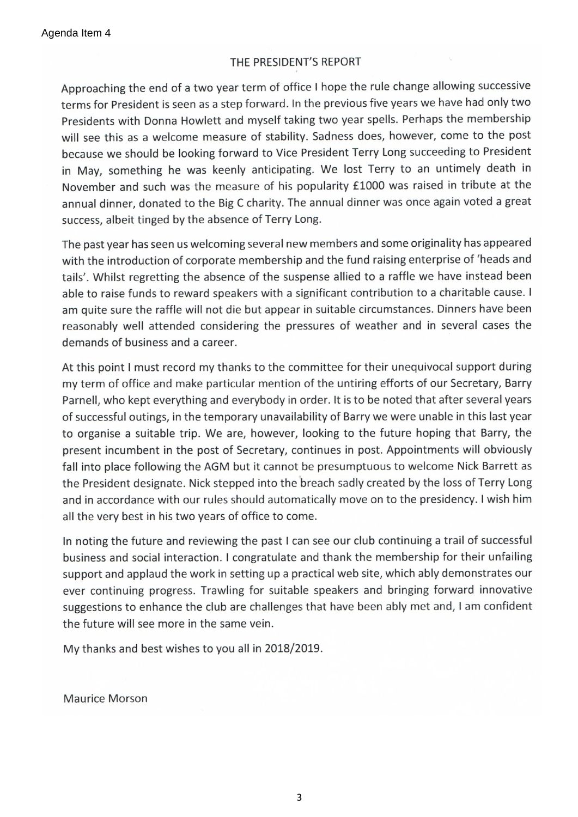#### THE PRESIDENT'S REPORT

Approaching the end of a two year term of office I hope the rule change allowing successive terms for President is seen as a step forward. In the previous five years we have had only two Presidents with Donna Howlett and myself taking two year spells. Perhaps the membership will see this as a welcome measure of stability. Sadness does, however, come to the post because we should be looking forward to Vice President Terry Long succeeding to President in May, something he was keenly anticipating. We lost Terry to an untimely death in November and such was the measure of his popularity £1000 was raised in tribute at the annual dinner, donated to the Big C charity. The annual dinner was once again voted a great success, albeit tinged by the absence of Terry Long.

The past year has seen us welcoming several new members and some originality has appeared with the introduction of corporate membership and the fund raising enterprise of 'heads and tails'. Whilst regretting the absence of the suspense allied to a raffle we have instead been able to raise funds to reward speakers with a significant contribution to a charitable cause. I am quite sure the raffle will not die but appear in suitable circumstances. Dinners have been reasonably well attended considering the pressures of weather and in several cases the demands of business and a career.

At this point I must record my thanks to the committee for their unequivocal support during my term of office and make particular mention of the untiring efforts of our Secretary, Barry Parnell, who kept everything and everybody in order. It is to be noted that after several years of successful outings, in the temporary unavailability of Barry we were unable in this last year to organise a suitable trip. We are, however, looking to the future hoping that Barry, the present incumbent in the post of Secretary, continues in post. Appointments will obviously fall into place following the AGM but it cannot be presumptuous to welcome Nick Barrett as the President designate. Nick stepped into the breach sadly created by the loss of Terry Long and in accordance with our rules should automatically move on to the presidency. I wish him all the very best in his two years of office to come.

In noting the future and reviewing the past I can see our club continuing a trail of successful business and social interaction. I congratulate and thank the membership for their unfailing support and applaud the work in setting up a practical web site, which ably demonstrates our ever continuing progress. Trawling for suitable speakers and bringing forward innovative suggestions to enhance the club are challenges that have been ably met and, I am confident the future will see more in the same vein.

My thanks and best wishes to you all in 2018/2019.

**Maurice Morson**